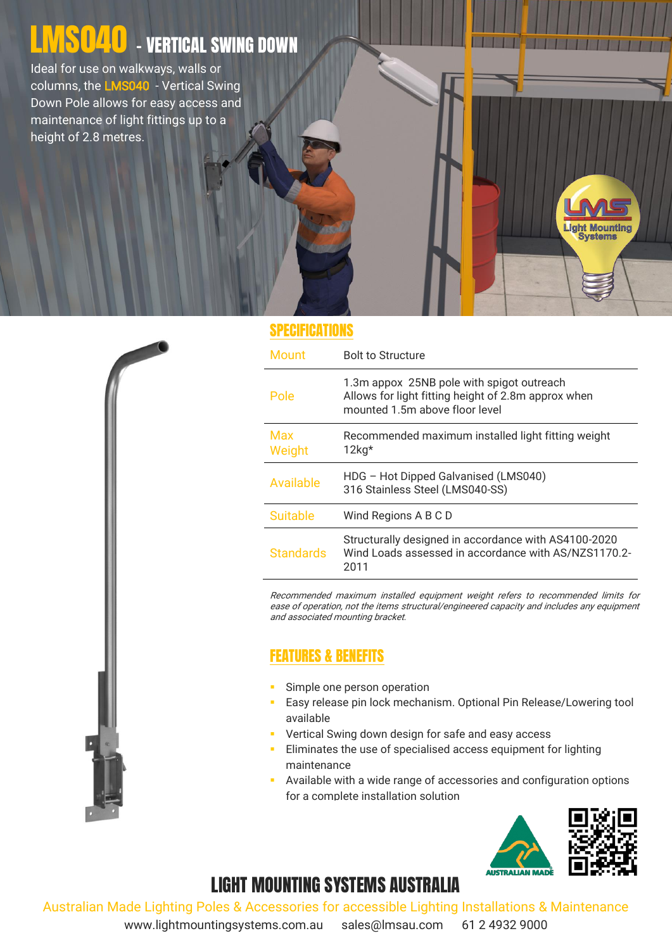# LI<mark>WS040</mark> - VERTICAL SWING DOWN

Ideal for use on walkways, walls or columns, the LMS040 - Vertical Swing Down Pole allows for easy access and maintenance of light fittings up to a height of 2.8 metres.

#### **SPECIFICATIONS**

| <b>Mount</b>     | <b>Bolt to Structure</b>                                                                                                           |
|------------------|------------------------------------------------------------------------------------------------------------------------------------|
| Pole             | 1.3m appox 25NB pole with spigot outreach<br>Allows for light fitting height of 2.8m approx when<br>mounted 1.5m above floor level |
| Max<br>Weight    | Recommended maximum installed light fitting weight<br>$12$ kg*                                                                     |
| Available        | HDG - Hot Dipped Galvanised (LMS040)<br>316 Stainless Steel (LMS040-SS)                                                            |
| <b>Suitable</b>  | Wind Regions A B C D                                                                                                               |
| <b>Standards</b> | Structurally designed in accordance with AS4100-2020<br>Wind Loads assessed in accordance with AS/NZS1170.2-<br>2011               |

Recommended maximum installed equipment weight refers to recommended limits for ease of operation, not the items structural/engineered capacity and includes any equipment and associated mounting bracket.

### FEATURES & BENEFITS

- Simple one person operation
- **Easy release pin lock mechanism. Optional Pin Release/Lowering tool** available
- Vertical Swing down design for safe and easy access
- Eliminates the use of specialised access equipment for lighting maintenance
- Available with a wide range of accessories and configuration options for a complete installation solution



**ight Mounting Systems** 

# LIGHT MOUNTING SYSTEMS AUSTRALIA

Australian Made Lighting Poles & Accessories for accessible Lighting Installations & Maintenance

www.lightmountingsystems.com.au sales@lmsau.com 61 2 4932 9000